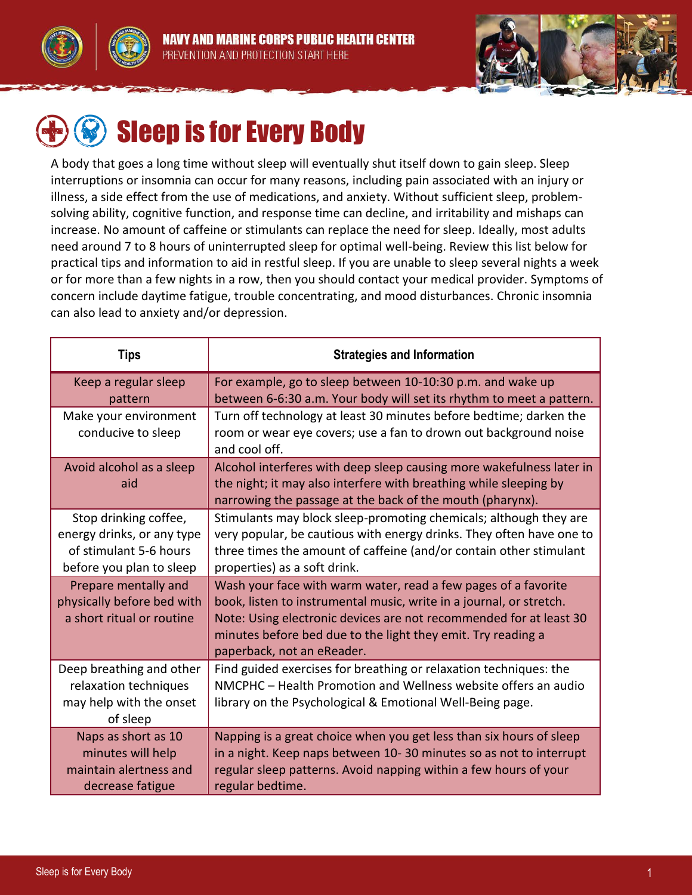





# Sleep is for Every Body

A body that goes a long time without sleep will eventually shut itself down to gain sleep. Sleep interruptions or insomnia can occur for many reasons, including pain associated with an injury or illness, a side effect from the use of medications, and anxiety. Without sufficient sleep, problemsolving ability, cognitive function, and response time can decline, and irritability and mishaps can increase. No amount of caffeine or stimulants can replace the need for sleep. Ideally, most adults need around 7 to 8 hours of uninterrupted sleep for optimal well-being. Review this list below for practical tips and information to aid in restful sleep. If you are unable to sleep several nights a week or for more than a few nights in a row, then you should contact your medical provider. Symptoms of concern include daytime fatigue, trouble concentrating, and mood disturbances. Chronic insomnia can also lead to anxiety and/or depression.

| <b>Tips</b>                | <b>Strategies and Information</b>                                                 |
|----------------------------|-----------------------------------------------------------------------------------|
| Keep a regular sleep       | For example, go to sleep between 10-10:30 p.m. and wake up                        |
| pattern                    | between 6-6:30 a.m. Your body will set its rhythm to meet a pattern.              |
| Make your environment      | Turn off technology at least 30 minutes before bedtime; darken the                |
| conducive to sleep         | room or wear eye covers; use a fan to drown out background noise<br>and cool off. |
| Avoid alcohol as a sleep   | Alcohol interferes with deep sleep causing more wakefulness later in              |
| aid                        | the night; it may also interfere with breathing while sleeping by                 |
|                            | narrowing the passage at the back of the mouth (pharynx).                         |
| Stop drinking coffee,      | Stimulants may block sleep-promoting chemicals; although they are                 |
| energy drinks, or any type | very popular, be cautious with energy drinks. They often have one to              |
| of stimulant 5-6 hours     | three times the amount of caffeine (and/or contain other stimulant                |
| before you plan to sleep   | properties) as a soft drink.                                                      |
| Prepare mentally and       | Wash your face with warm water, read a few pages of a favorite                    |
| physically before bed with | book, listen to instrumental music, write in a journal, or stretch.               |
| a short ritual or routine  | Note: Using electronic devices are not recommended for at least 30                |
|                            | minutes before bed due to the light they emit. Try reading a                      |
|                            | paperback, not an eReader.                                                        |
| Deep breathing and other   | Find guided exercises for breathing or relaxation techniques: the                 |
| relaxation techniques      | NMCPHC - Health Promotion and Wellness website offers an audio                    |
| may help with the onset    | library on the Psychological & Emotional Well-Being page.                         |
| of sleep                   |                                                                                   |
| Naps as short as 10        | Napping is a great choice when you get less than six hours of sleep               |
| minutes will help          | in a night. Keep naps between 10-30 minutes so as not to interrupt                |
| maintain alertness and     | regular sleep patterns. Avoid napping within a few hours of your                  |
| decrease fatigue           | regular bedtime.                                                                  |